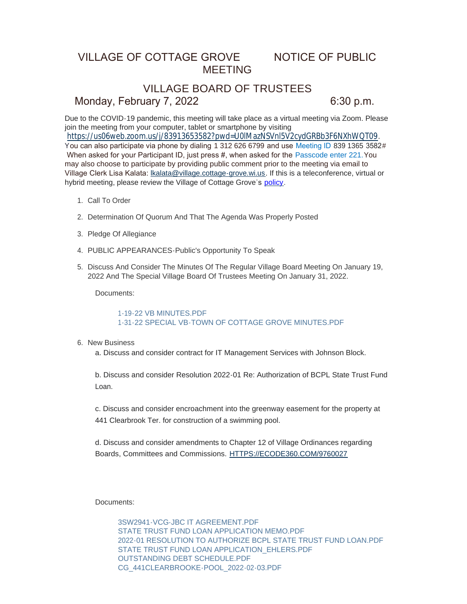# VILLAGE OF COTTAGE GROVE NOTICE OF PUBLIC MEETING

# VILLAGE BOARD OF TRUSTEES

### Monday, February 7, 2022 6:30 p.m.

Due to the COVID-19 pandemic, this meeting will take place as a virtual meeting via Zoom. Please join the meeting from your computer, tablet or smartphone by visiting

<https://us06web.zoom.us/j/83913653582?pwd=U0lMazNSVnl5V2cydGRBb3F6NXhWQT09>.

You can also participate via phone by dialing 1 312 626 6799 and use Meeting ID 839 1365 3582# When asked for your Participant ID, just press #, when asked for the Passcode enter 221. You may also choose to participate by providing public comment prior to the meeting via email to Village Clerk Lisa Kalata: [lkalata@village.cottage-grove.wi.us](mailto:lkalata@village.cottage-grove.wi.us). If this is a teleconference, virtual or hybrid meeting, please review the Village of Cottage Grove's [policy](https://www.vi.cottagegrove.wi.gov/DocumentCenter/View/1850/Virtual-Hybrid-Tele-meeting-Policy-Final).

- 1. Call To Order
- 2. Determination Of Quorum And That The Agenda Was Properly Posted
- 3. Pledge Of Allegiance
- PUBLIC APPEARANCES-Public's Opportunity To Speak 4.
- 5. Discuss And Consider The Minutes Of The Regular Village Board Meeting On January 19, 2022 And The Special Village Board Of Trustees Meeting On January 31, 2022.

Documents:

### [1-19-22 VB MINUTES.PDF](https://www.vi.cottagegrove.wi.gov/AgendaCenter/ViewFile/Item/9465?fileID=18565) [1-31-22 SPECIAL VB-TOWN OF COTTAGE GROVE MINUTES.PDF](https://www.vi.cottagegrove.wi.gov/AgendaCenter/ViewFile/Item/9465?fileID=18566)

#### 6. New Business

a. Discuss and consider contract for IT Management Services with Johnson Block.

b. Discuss and consider Resolution 2022-01 Re: Authorization of BCPL State Trust Fund Loan.

c. Discuss and consider encroachment into the greenway easement for the property at 441 Clearbrook Ter. for construction of a swimming pool.

d. Discuss and consider amendments to Chapter 12 of Village Ordinances regarding Boards, Committees and Commissions. [HTTPS://ECODE360.COM/9760027](https://ecode360.com/9760027)

Documents:

[3SW2941-VCG-JBC IT AGREEMENT.PDF](https://www.vi.cottagegrove.wi.gov/AgendaCenter/ViewFile/Item/9510?fileID=18693) [STATE TRUST FUND LOAN APPLICATION MEMO.PDF](https://www.vi.cottagegrove.wi.gov/AgendaCenter/ViewFile/Item/9510?fileID=18694) [2022-01 RESOLUTION TO AUTHORIZE BCPL STATE TRUST FUND LOAN.PDF](https://www.vi.cottagegrove.wi.gov/AgendaCenter/ViewFile/Item/9510?fileID=18695) STATE TRUST FUND LOAN APPLICATION EHLERS.PDF [OUTSTANDING DEBT SCHEDULE.PDF](https://www.vi.cottagegrove.wi.gov/AgendaCenter/ViewFile/Item/9510?fileID=18697) [CG\\_441CLEARBROOKE-POOL\\_2022-02-03.PDF](https://www.vi.cottagegrove.wi.gov/AgendaCenter/ViewFile/Item/9510?fileID=18698)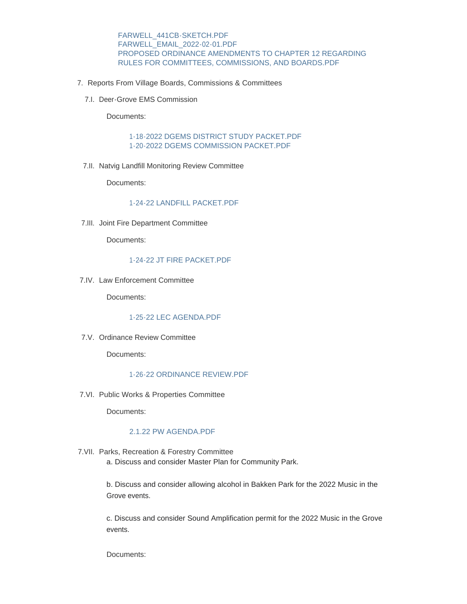[FARWELL\\_441CB-SKETCH.PDF](https://www.vi.cottagegrove.wi.gov/AgendaCenter/ViewFile/Item/9510?fileID=18699) [FARWELL\\_EMAIL\\_2022-02-01.PDF](https://www.vi.cottagegrove.wi.gov/AgendaCenter/ViewFile/Item/9510?fileID=18700) [PROPOSED ORDINANCE AMENDMENTS TO CHAPTER 12 REGARDING](https://www.vi.cottagegrove.wi.gov/AgendaCenter/ViewFile/Item/9510?fileID=18701)  RULES FOR COMMITTEES, COMMISSIONS, AND BOARDS.PDF

- 7. Reports From Village Boards, Commissions & Committees
	- 7.I. Deer-Grove EMS Commission

Documents:

[1-18-2022 DGEMS DISTRICT STUDY PACKET.PDF](https://www.vi.cottagegrove.wi.gov/AgendaCenter/ViewFile/Item/9428?fileID=18512) [1-20-2022 DGEMS COMMISSION PACKET.PDF](https://www.vi.cottagegrove.wi.gov/AgendaCenter/ViewFile/Item/9428?fileID=18513)

7.II. Natvig Landfill Monitoring Review Committee

Documents:

#### [1-24-22 LANDFILL PACKET.PDF](https://www.vi.cottagegrove.wi.gov/AgendaCenter/ViewFile/Item/9433?fileID=18518)

7.III. Joint Fire Department Committee

Documents:

#### [1-24-22 JT FIRE PACKET.PDF](https://www.vi.cottagegrove.wi.gov/AgendaCenter/ViewFile/Item/9458?fileID=18555)

7.IV. Law Enforcement Committee

Documents:

#### [1-25-22 LEC AGENDA.PDF](https://www.vi.cottagegrove.wi.gov/AgendaCenter/ViewFile/Item/9429?fileID=18514)

7.V. Ordinance Review Committee

Documents:

#### [1-26-22 ORDINANCE REVIEW.PDF](https://www.vi.cottagegrove.wi.gov/AgendaCenter/ViewFile/Item/9452?fileID=18551)

7.VI. Public Works & Properties Committee

Documents:

#### [2.1.22 PW AGENDA.PDF](https://www.vi.cottagegrove.wi.gov/AgendaCenter/ViewFile/Item/9461?fileID=18562)

7. VII. Parks, Recreation & Forestry Committee a. Discuss and consider Master Plan for Community Park.

> b. Discuss and consider allowing alcohol in Bakken Park for the 2022 Music in the Grove events.

c. Discuss and consider Sound Amplification permit for the 2022 Music in the Grove events.

Documents: